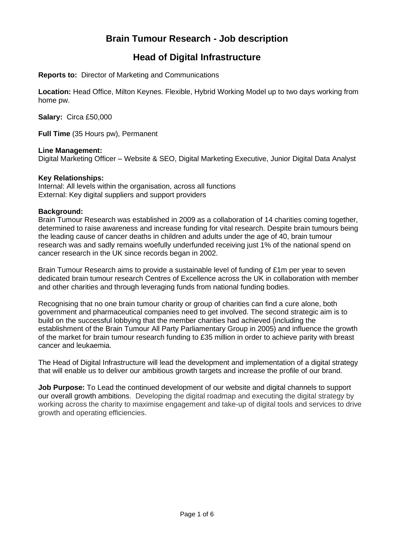# **Brain Tumour Research - Job description**

## **Head of Digital Infrastructure**

**Reports to:** Director of Marketing and Communications

**Location:** Head Office, Milton Keynes. Flexible, Hybrid Working Model up to two days working from home pw.

**Salary:** Circa £50,000

**Full Time** (35 Hours pw), Permanent

#### **Line Management:**

Digital Marketing Officer – Website & SEO, Digital Marketing Executive, Junior Digital Data Analyst

#### **Key Relationships:**

Internal: All levels within the organisation, across all functions External: Key digital suppliers and support providers

#### **Background:**

Brain Tumour Research was established in 2009 as a collaboration of 14 charities coming together, determined to raise awareness and increase funding for vital research. Despite brain tumours being the leading cause of cancer deaths in children and adults under the age of 40, brain tumour research was and sadly remains woefully underfunded receiving just 1% of the national spend on cancer research in the UK since records began in 2002.

Brain Tumour Research aims to provide a sustainable level of funding of £1m per year to seven dedicated brain tumour research Centres of Excellence across the UK in collaboration with member and other charities and through leveraging funds from national funding bodies.

Recognising that no one brain tumour charity or group of charities can find a cure alone, both government and pharmaceutical companies need to get involved. The second strategic aim is to build on the successful lobbying that the member charities had achieved (including the establishment of the Brain Tumour All Party Parliamentary Group in 2005) and influence the growth of the market for brain tumour research funding to £35 million in order to achieve parity with breast cancer and leukaemia.

The Head of Digital Infrastructure will lead the development and implementation of a digital strategy that will enable us to deliver our ambitious growth targets and increase the profile of our brand.

**Job Purpose:** To Lead the continued development of our website and digital channels to support our overall growth ambitions. Developing the digital roadmap and executing the digital strategy by working across the charity to maximise engagement and take-up of digital tools and services to drive growth and operating efficiencies.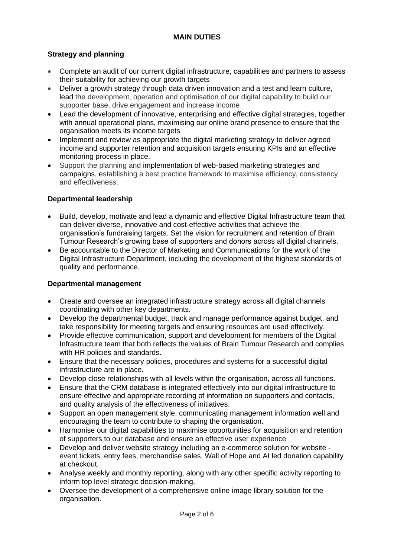## **MAIN DUTIES**

## **Strategy and planning**

- Complete an audit of our current digital infrastructure, capabilities and partners to assess their suitability for achieving our growth targets
- Deliver a growth strategy through data driven innovation and a test and learn culture, lead the development, operation and optimisation of our digital capability to build our supporter base, drive engagement and increase income
- Lead the development of innovative, enterprising and effective digital strategies, together with annual operational plans, maximising our online brand presence to ensure that the organisation meets its income targets
- Implement and review as appropriate the digital marketing strategy to deliver agreed income and supporter retention and acquisition targets ensuring KPIs and an effective monitoring process in place.
- Support the planning and implementation of web-based marketing strategies and campaigns, establishing a best practice framework to maximise efficiency, consistency and effectiveness.

#### **Departmental leadership**

- Build, develop, motivate and lead a dynamic and effective Digital Infrastructure team that can deliver diverse, innovative and cost-effective activities that achieve the organisation's fundraising targets. Set the vision for recruitment and retention of Brain Tumour Research's growing base of supporters and donors across all digital channels.
- Be accountable to the Director of Marketing and Communications for the work of the Digital Infrastructure Department, including the development of the highest standards of quality and performance.

#### **Departmental management**

- Create and oversee an integrated infrastructure strategy across all digital channels coordinating with other key departments.
- Develop the departmental budget, track and manage performance against budget, and take responsibility for meeting targets and ensuring resources are used effectively.
- Provide effective communication, support and development for members of the Digital Infrastructure team that both reflects the values of Brain Tumour Research and complies with HR policies and standards.
- Ensure that the necessary policies, procedures and systems for a successful digital infrastructure are in place.
- Develop close relationships with all levels within the organisation, across all functions.
- Ensure that the CRM database is integrated effectively into our digital infrastructure to ensure effective and appropriate recording of information on supporters and contacts, and quality analysis of the effectiveness of initiatives.
- Support an open management style, communicating management information well and encouraging the team to contribute to shaping the organisation.
- Harmonise our digital capabilities to maximise opportunities for acquisition and retention of supporters to our database and ensure an effective user experience
- Develop and deliver website strategy including an e-commerce solution for website event tickets, entry fees, merchandise sales, Wall of Hope and AI led donation capability at checkout.
- Analyse weekly and monthly reporting, along with any other specific activity reporting to inform top level strategic decision-making.
- Oversee the development of a comprehensive online image library solution for the organisation.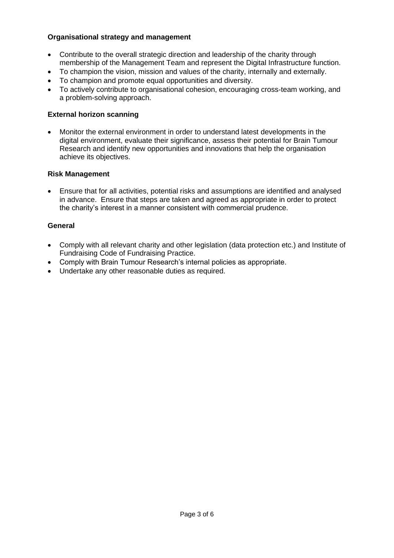## **Organisational strategy and management**

- Contribute to the overall strategic direction and leadership of the charity through membership of the Management Team and represent the Digital Infrastructure function.
- To champion the vision, mission and values of the charity, internally and externally.
- To champion and promote equal opportunities and diversity.
- To actively contribute to organisational cohesion, encouraging cross-team working, and a problem-solving approach.

## **External horizon scanning**

• Monitor the external environment in order to understand latest developments in the digital environment, evaluate their significance, assess their potential for Brain Tumour Research and identify new opportunities and innovations that help the organisation achieve its objectives.

#### **Risk Management**

• Ensure that for all activities, potential risks and assumptions are identified and analysed in advance. Ensure that steps are taken and agreed as appropriate in order to protect the charity's interest in a manner consistent with commercial prudence.

## **General**

- Comply with all relevant charity and other legislation (data protection etc.) and Institute of Fundraising Code of Fundraising Practice.
- Comply with Brain Tumour Research's internal policies as appropriate.
- Undertake any other reasonable duties as required.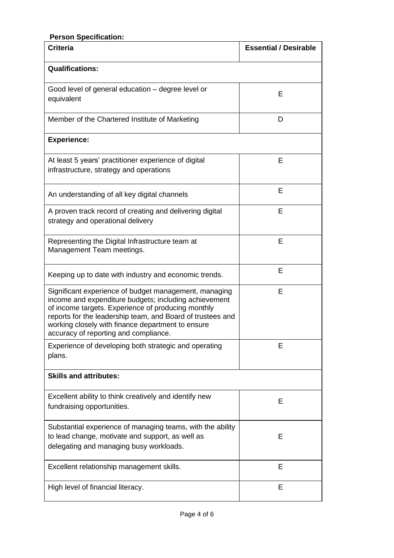| <b>Person Specification:</b>                                                                                                                                                                                                                                                                                                     |                              |
|----------------------------------------------------------------------------------------------------------------------------------------------------------------------------------------------------------------------------------------------------------------------------------------------------------------------------------|------------------------------|
| <b>Criteria</b>                                                                                                                                                                                                                                                                                                                  | <b>Essential / Desirable</b> |
| <b>Qualifications:</b>                                                                                                                                                                                                                                                                                                           |                              |
| Good level of general education - degree level or<br>equivalent                                                                                                                                                                                                                                                                  | Е                            |
| Member of the Chartered Institute of Marketing                                                                                                                                                                                                                                                                                   | D                            |
| <b>Experience:</b>                                                                                                                                                                                                                                                                                                               |                              |
| At least 5 years' practitioner experience of digital<br>infrastructure, strategy and operations                                                                                                                                                                                                                                  | E                            |
| An understanding of all key digital channels                                                                                                                                                                                                                                                                                     | E                            |
| A proven track record of creating and delivering digital<br>strategy and operational delivery                                                                                                                                                                                                                                    | Е                            |
| Representing the Digital Infrastructure team at<br>Management Team meetings.                                                                                                                                                                                                                                                     | Е                            |
| Keeping up to date with industry and economic trends.                                                                                                                                                                                                                                                                            | Е                            |
| Significant experience of budget management, managing<br>income and expenditure budgets; including achievement<br>of income targets. Experience of producing monthly<br>reports for the leadership team, and Board of trustees and<br>working closely with finance department to ensure<br>accuracy of reporting and compliance. | Е                            |
| Experience of developing both strategic and operating<br>plans.                                                                                                                                                                                                                                                                  | Е                            |
| <b>Skills and attributes:</b>                                                                                                                                                                                                                                                                                                    |                              |
| Excellent ability to think creatively and identify new<br>fundraising opportunities.                                                                                                                                                                                                                                             | E                            |
| Substantial experience of managing teams, with the ability<br>to lead change, motivate and support, as well as<br>delegating and managing busy workloads.                                                                                                                                                                        | Е                            |
| Excellent relationship management skills.                                                                                                                                                                                                                                                                                        | Е                            |
| High level of financial literacy.                                                                                                                                                                                                                                                                                                | E                            |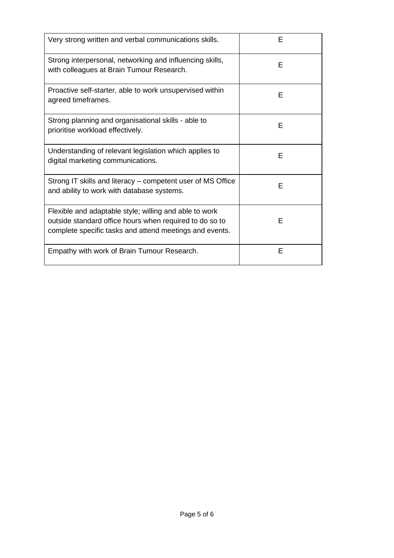| Very strong written and verbal communications skills.                                                                                                                        | F |
|------------------------------------------------------------------------------------------------------------------------------------------------------------------------------|---|
| Strong interpersonal, networking and influencing skills,<br>with colleagues at Brain Tumour Research.                                                                        | F |
| Proactive self-starter, able to work unsupervised within<br>agreed timeframes.                                                                                               | F |
| Strong planning and organisational skills - able to<br>prioritise workload effectively.                                                                                      | F |
| Understanding of relevant legislation which applies to<br>digital marketing communications.                                                                                  | F |
| Strong IT skills and literacy – competent user of MS Office<br>and ability to work with database systems.                                                                    | F |
| Flexible and adaptable style; willing and able to work<br>outside standard office hours when required to do so to<br>complete specific tasks and attend meetings and events. | E |
| Empathy with work of Brain Tumour Research.                                                                                                                                  | E |